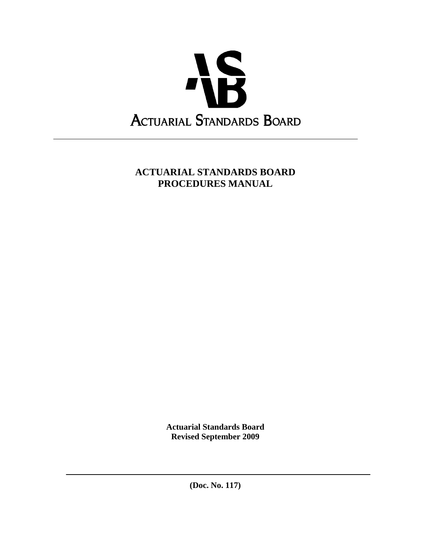

# **ACTUARIAL STANDARDS BOARD PROCEDURES MANUAL**

**Actuarial Standards Board Revised September 2009** 

**(Doc. No. 117)**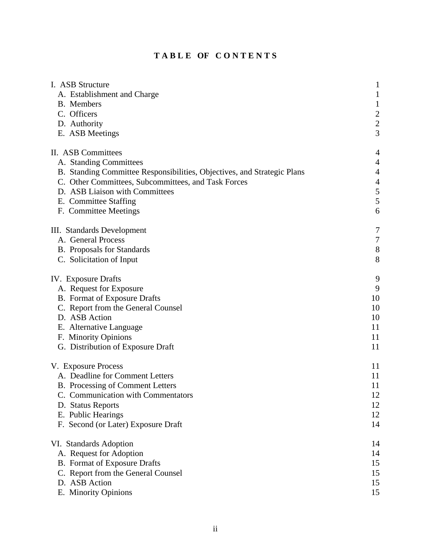|  |  | TABLE OF CONTENTS |  |  |  |  |  |
|--|--|-------------------|--|--|--|--|--|
|  |  |                   |  |  |  |  |  |

| I. ASB Structure                                                                                                                                                                                                                                                   | $\mathbf{1}$                                                     |
|--------------------------------------------------------------------------------------------------------------------------------------------------------------------------------------------------------------------------------------------------------------------|------------------------------------------------------------------|
| A. Establishment and Charge                                                                                                                                                                                                                                        | $\mathbf{1}$                                                     |
| B. Members                                                                                                                                                                                                                                                         | $\mathbf{1}$                                                     |
| C. Officers                                                                                                                                                                                                                                                        | $\overline{\mathbf{c}}$                                          |
| D. Authority                                                                                                                                                                                                                                                       | $\overline{c}$                                                   |
| E. ASB Meetings                                                                                                                                                                                                                                                    | 3                                                                |
| II. ASB Committees<br>A. Standing Committees<br>B. Standing Committee Responsibilities, Objectives, and Strategic Plans<br>C. Other Committees, Subcommittees, and Task Forces<br>D. ASB Liaison with Committees<br>E. Committee Staffing<br>F. Committee Meetings | 4<br>4<br>$\overline{4}$<br>$\overline{4}$<br>$\frac{5}{5}$<br>6 |
| III. Standards Development                                                                                                                                                                                                                                         | 7                                                                |
| A. General Process                                                                                                                                                                                                                                                 | 7                                                                |
| <b>B.</b> Proposals for Standards                                                                                                                                                                                                                                  | $8\,$                                                            |
| C. Solicitation of Input                                                                                                                                                                                                                                           | 8                                                                |
| <b>IV.</b> Exposure Drafts                                                                                                                                                                                                                                         | 9                                                                |
| A. Request for Exposure                                                                                                                                                                                                                                            | 9                                                                |
| <b>B.</b> Format of Exposure Drafts                                                                                                                                                                                                                                | 10                                                               |
| C. Report from the General Counsel                                                                                                                                                                                                                                 | 10                                                               |
| D. ASB Action                                                                                                                                                                                                                                                      | 10                                                               |
| E. Alternative Language                                                                                                                                                                                                                                            | 11                                                               |
| F. Minority Opinions                                                                                                                                                                                                                                               | 11                                                               |
| G. Distribution of Exposure Draft                                                                                                                                                                                                                                  | 11                                                               |
| V. Exposure Process                                                                                                                                                                                                                                                | 11                                                               |
| A. Deadline for Comment Letters                                                                                                                                                                                                                                    | 11                                                               |
| B. Processing of Comment Letters                                                                                                                                                                                                                                   | 11                                                               |
| C. Communication with Commentators                                                                                                                                                                                                                                 | 12                                                               |
| D. Status Reports                                                                                                                                                                                                                                                  | 12                                                               |
| E. Public Hearings                                                                                                                                                                                                                                                 | 12                                                               |
| F. Second (or Later) Exposure Draft                                                                                                                                                                                                                                | 14                                                               |
| VI. Standards Adoption                                                                                                                                                                                                                                             | 14                                                               |
| A. Request for Adoption                                                                                                                                                                                                                                            | 14                                                               |
| <b>B.</b> Format of Exposure Drafts                                                                                                                                                                                                                                | 15                                                               |
| C. Report from the General Counsel                                                                                                                                                                                                                                 | 15                                                               |
| D. ASB Action                                                                                                                                                                                                                                                      | 15                                                               |
| E. Minority Opinions                                                                                                                                                                                                                                               | 15                                                               |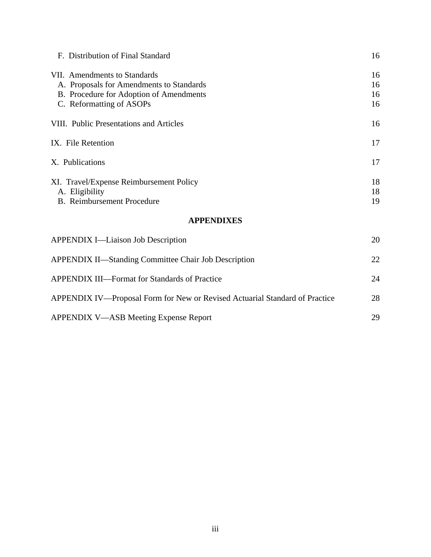| F. Distribution of Final Standard                                                                                                               | 16                   |
|-------------------------------------------------------------------------------------------------------------------------------------------------|----------------------|
| VII. Amendments to Standards<br>A. Proposals for Amendments to Standards<br>B. Procedure for Adoption of Amendments<br>C. Reformatting of ASOPs | 16<br>16<br>16<br>16 |
| VIII. Public Presentations and Articles                                                                                                         | 16                   |
| IX. File Retention                                                                                                                              | 17                   |
| X. Publications                                                                                                                                 | 17                   |
| XI. Travel/Expense Reimbursement Policy<br>A. Eligibility<br><b>B.</b> Reimbursement Procedure                                                  | 18<br>18<br>19       |
| <b>APPENDIXES</b>                                                                                                                               |                      |
| <b>APPENDIX I—Liaison Job Description</b>                                                                                                       | 20                   |
| <b>APPENDIX II—Standing Committee Chair Job Description</b>                                                                                     |                      |
| <b>APPENDIX III—Format for Standards of Practice</b>                                                                                            | 24                   |

| APPENDIX IV—Proposal Form for New or Revised Actuarial Standard of Practice | 28 |
|-----------------------------------------------------------------------------|----|
| APPENDIX V—ASB Meeting Expense Report                                       | 29 |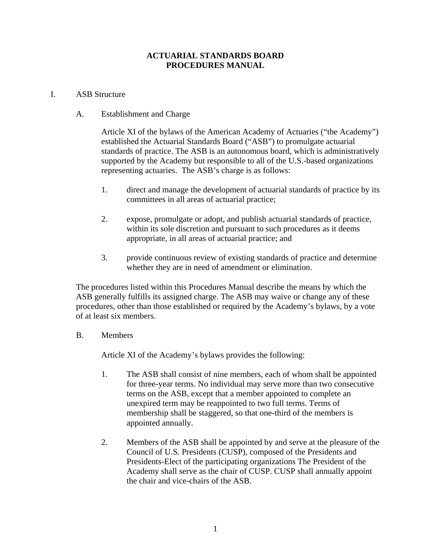## **ACTUARIAL STANDARDS BOARD PROCEDURES MANUAL**

## I. ASB Structure

## A. Establishment and Charge

Article XI of the bylaws of the American Academy of Actuaries ("the Academy") established the Actuarial Standards Board ("ASB") to promulgate actuarial standards of practice. The ASB is an autonomous board, which is administratively supported by the Academy but responsible to all of the U.S.-based organizations representing actuaries. The ASB's charge is as follows:

- 1. direct and manage the development of actuarial standards of practice by its committees in all areas of actuarial practice;
- 2. expose, promulgate or adopt, and publish actuarial standards of practice, within its sole discretion and pursuant to such procedures as it deems appropriate, in all areas of actuarial practice; and
- 3. provide continuous review of existing standards of practice and determine whether they are in need of amendment or elimination.

The procedures listed within this Procedures Manual describe the means by which the ASB generally fulfills its assigned charge. The ASB may waive or change any of these procedures, other than those established or required by the Academy's bylaws, by a vote of at least six members.

## B. Members

Article XI of the Academy's bylaws provides the following:

- 1. The ASB shall consist of nine members, each of whom shall be appointed for three-year terms. No individual may serve more than two consecutive terms on the ASB, except that a member appointed to complete an unexpired term may be reappointed to two full terms. Terms of membership shall be staggered, so that one-third of the members is appointed annually.
- 2. Members of the ASB shall be appointed by and serve at the pleasure of the Council of U.S. Presidents (CUSP), composed of the Presidents and Presidents-Elect of the participating organizations The President of the Academy shall serve as the chair of CUSP. CUSP shall annually appoint the chair and vice-chairs of the ASB.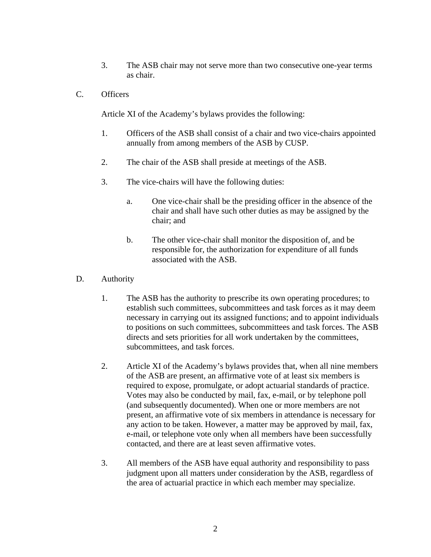- 3. The ASB chair may not serve more than two consecutive one-year terms as chair.
- C. Officers

Article XI of the Academy's bylaws provides the following:

- 1. Officers of the ASB shall consist of a chair and two vice-chairs appointed annually from among members of the ASB by CUSP.
- 2. The chair of the ASB shall preside at meetings of the ASB.
- 3. The vice-chairs will have the following duties:
	- a. One vice-chair shall be the presiding officer in the absence of the chair and shall have such other duties as may be assigned by the chair; and
	- b. The other vice-chair shall monitor the disposition of, and be responsible for, the authorization for expenditure of all funds associated with the ASB.
- D. Authority
	- 1. The ASB has the authority to prescribe its own operating procedures; to establish such committees, subcommittees and task forces as it may deem necessary in carrying out its assigned functions; and to appoint individuals to positions on such committees, subcommittees and task forces. The ASB directs and sets priorities for all work undertaken by the committees, subcommittees, and task forces.
	- 2. Article XI of the Academy's bylaws provides that, when all nine members of the ASB are present, an affirmative vote of at least six members is required to expose, promulgate, or adopt actuarial standards of practice. Votes may also be conducted by mail, fax, e-mail, or by telephone poll (and subsequently documented). When one or more members are not present, an affirmative vote of six members in attendance is necessary for any action to be taken. However, a matter may be approved by mail, fax, e-mail, or telephone vote only when all members have been successfully contacted, and there are at least seven affirmative votes.
	- 3. All members of the ASB have equal authority and responsibility to pass judgment upon all matters under consideration by the ASB, regardless of the area of actuarial practice in which each member may specialize.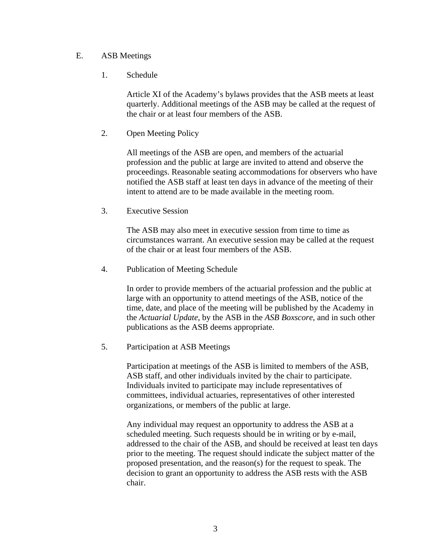## E. ASB Meetings

1. Schedule

Article XI of the Academy's bylaws provides that the ASB meets at least quarterly. Additional meetings of the ASB may be called at the request of the chair or at least four members of the ASB.

2. Open Meeting Policy

All meetings of the ASB are open, and members of the actuarial profession and the public at large are invited to attend and observe the proceedings. Reasonable seating accommodations for observers who have notified the ASB staff at least ten days in advance of the meeting of their intent to attend are to be made available in the meeting room.

3. Executive Session

The ASB may also meet in executive session from time to time as circumstances warrant. An executive session may be called at the request of the chair or at least four members of the ASB.

4. Publication of Meeting Schedule

In order to provide members of the actuarial profession and the public at large with an opportunity to attend meetings of the ASB, notice of the time, date, and place of the meeting will be published by the Academy in the *Actuarial Update*, by the ASB in the *ASB Boxscore*, and in such other publications as the ASB deems appropriate.

5. Participation at ASB Meetings

Participation at meetings of the ASB is limited to members of the ASB, ASB staff, and other individuals invited by the chair to participate. Individuals invited to participate may include representatives of committees, individual actuaries, representatives of other interested organizations, or members of the public at large.

Any individual may request an opportunity to address the ASB at a scheduled meeting. Such requests should be in writing or by e-mail, addressed to the chair of the ASB, and should be received at least ten days prior to the meeting. The request should indicate the subject matter of the proposed presentation, and the reason(s) for the request to speak. The decision to grant an opportunity to address the ASB rests with the ASB chair.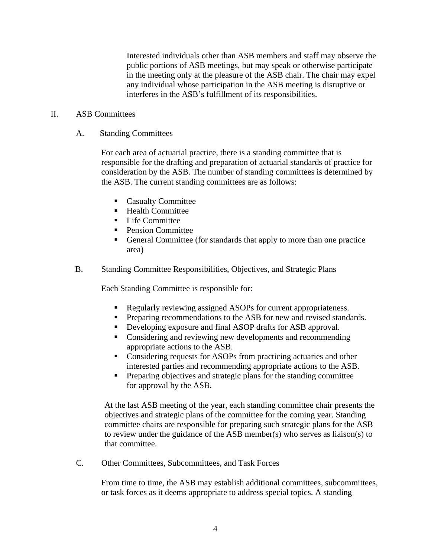Interested individuals other than ASB members and staff may observe the public portions of ASB meetings, but may speak or otherwise participate in the meeting only at the pleasure of the ASB chair. The chair may expel any individual whose participation in the ASB meeting is disruptive or interferes in the ASB's fulfillment of its responsibilities.

#### II. ASB Committees

A. Standing Committees

For each area of actuarial practice, there is a standing committee that is responsible for the drafting and preparation of actuarial standards of practice for consideration by the ASB. The number of standing committees is determined by the ASB. The current standing committees are as follows:

- Casualty Committee
- $H$  Health Committee
- **Life Committee**
- Pension Committee
- General Committee (for standards that apply to more than one practice area)
- B. Standing Committee Responsibilities, Objectives, and Strategic Plans

Each Standing Committee is responsible for:

- Regularly reviewing assigned ASOPs for current appropriateness.
- **Preparing recommendations to the ASB for new and revised standards.**
- Developing exposure and final ASOP drafts for ASB approval.
- Considering and reviewing new developments and recommending appropriate actions to the ASB.
- Considering requests for ASOPs from practicing actuaries and other interested parties and recommending appropriate actions to the ASB.
- **Preparing objectives and strategic plans for the standing committee** for approval by the ASB.

At the last ASB meeting of the year, each standing committee chair presents the objectives and strategic plans of the committee for the coming year. Standing committee chairs are responsible for preparing such strategic plans for the ASB to review under the guidance of the ASB member(s) who serves as liaison(s) to that committee.

C. Other Committees, Subcommittees, and Task Forces

From time to time, the ASB may establish additional committees, subcommittees, or task forces as it deems appropriate to address special topics. A standing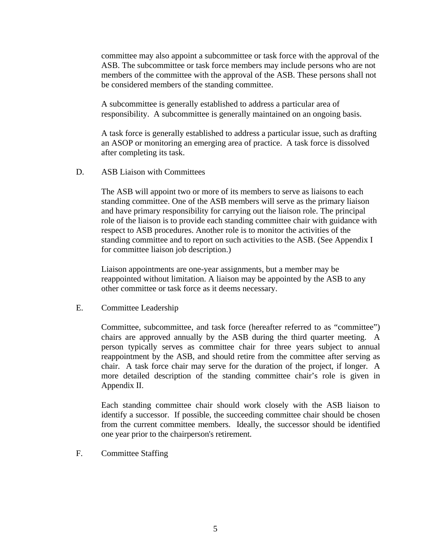committee may also appoint a subcommittee or task force with the approval of the ASB. The subcommittee or task force members may include persons who are not members of the committee with the approval of the ASB. These persons shall not be considered members of the standing committee.

A subcommittee is generally established to address a particular area of responsibility. A subcommittee is generally maintained on an ongoing basis.

A task force is generally established to address a particular issue, such as drafting an ASOP or monitoring an emerging area of practice. A task force is dissolved after completing its task.

D. ASB Liaison with Committees

The ASB will appoint two or more of its members to serve as liaisons to each standing committee. One of the ASB members will serve as the primary liaison and have primary responsibility for carrying out the liaison role. The principal role of the liaison is to provide each standing committee chair with guidance with respect to ASB procedures. Another role is to monitor the activities of the standing committee and to report on such activities to the ASB. (See Appendix I for committee liaison job description.)

Liaison appointments are one-year assignments, but a member may be reappointed without limitation. A liaison may be appointed by the ASB to any other committee or task force as it deems necessary.

E. Committee Leadership

Committee, subcommittee, and task force (hereafter referred to as "committee") chairs are approved annually by the ASB during the third quarter meeting. A person typically serves as committee chair for three years subject to annual reappointment by the ASB, and should retire from the committee after serving as chair. A task force chair may serve for the duration of the project, if longer. A more detailed description of the standing committee chair's role is given in Appendix II.

Each standing committee chair should work closely with the ASB liaison to identify a successor. If possible, the succeeding committee chair should be chosen from the current committee members. Ideally, the successor should be identified one year prior to the chairperson's retirement.

F. Committee Staffing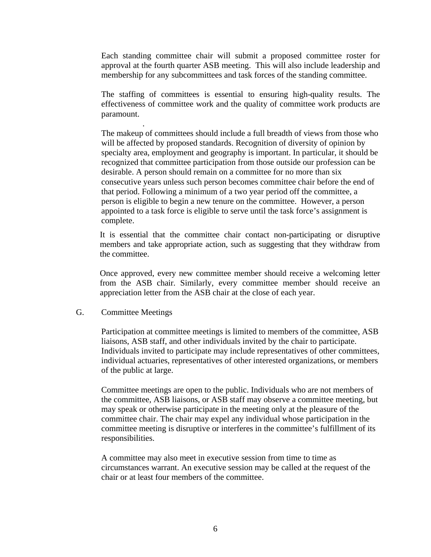Each standing committee chair will submit a proposed committee roster for approval at the fourth quarter ASB meeting. This will also include leadership and membership for any subcommittees and task forces of the standing committee.

The staffing of committees is essential to ensuring high-quality results. The effectiveness of committee work and the quality of committee work products are paramount.

The makeup of committees should include a full breadth of views from those who will be affected by proposed standards. Recognition of diversity of opinion by specialty area, employment and geography is important. In particular, it should be recognized that committee participation from those outside our profession can be desirable. A person should remain on a committee for no more than six consecutive years unless such person becomes committee chair before the end of that period. Following a minimum of a two year period off the committee, a person is eligible to begin a new tenure on the committee. However, a person appointed to a task force is eligible to serve until the task force's assignment is complete.

It is essential that the committee chair contact non-participating or disruptive members and take appropriate action, such as suggesting that they withdraw from the committee.

Once approved, every new committee member should receive a welcoming letter from the ASB chair. Similarly, every committee member should receive an appreciation letter from the ASB chair at the close of each year.

## G. Committee Meetings

.

Participation at committee meetings is limited to members of the committee, ASB liaisons, ASB staff, and other individuals invited by the chair to participate. Individuals invited to participate may include representatives of other committees, individual actuaries, representatives of other interested organizations, or members of the public at large.

Committee meetings are open to the public. Individuals who are not members of the committee, ASB liaisons, or ASB staff may observe a committee meeting, but may speak or otherwise participate in the meeting only at the pleasure of the committee chair. The chair may expel any individual whose participation in the committee meeting is disruptive or interferes in the committee's fulfillment of its responsibilities.

A committee may also meet in executive session from time to time as circumstances warrant. An executive session may be called at the request of the chair or at least four members of the committee.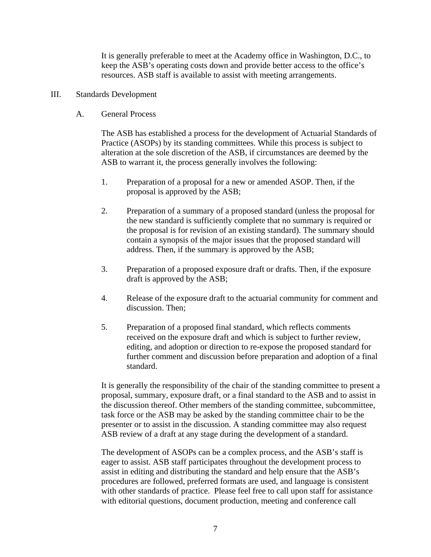It is generally preferable to meet at the Academy office in Washington, D.C., to keep the ASB's operating costs down and provide better access to the office's resources. ASB staff is available to assist with meeting arrangements.

- III. Standards Development
	- A. General Process

The ASB has established a process for the development of Actuarial Standards of Practice (ASOPs) by its standing committees. While this process is subject to alteration at the sole discretion of the ASB, if circumstances are deemed by the ASB to warrant it, the process generally involves the following:

- 1. Preparation of a proposal for a new or amended ASOP. Then, if the proposal is approved by the ASB;
- 2. Preparation of a summary of a proposed standard (unless the proposal for the new standard is sufficiently complete that no summary is required or the proposal is for revision of an existing standard). The summary should contain a synopsis of the major issues that the proposed standard will address. Then, if the summary is approved by the ASB;
- 3. Preparation of a proposed exposure draft or drafts. Then, if the exposure draft is approved by the ASB;
- 4. Release of the exposure draft to the actuarial community for comment and discussion. Then;
- 5. Preparation of a proposed final standard, which reflects comments received on the exposure draft and which is subject to further review, editing, and adoption or direction to re-expose the proposed standard for further comment and discussion before preparation and adoption of a final standard.

It is generally the responsibility of the chair of the standing committee to present a proposal, summary, exposure draft, or a final standard to the ASB and to assist in the discussion thereof. Other members of the standing committee, subcommittee, task force or the ASB may be asked by the standing committee chair to be the presenter or to assist in the discussion. A standing committee may also request ASB review of a draft at any stage during the development of a standard.

The development of ASOPs can be a complex process, and the ASB's staff is eager to assist. ASB staff participates throughout the development process to assist in editing and distributing the standard and help ensure that the ASB's procedures are followed, preferred formats are used, and language is consistent with other standards of practice. Please feel free to call upon staff for assistance with editorial questions, document production, meeting and conference call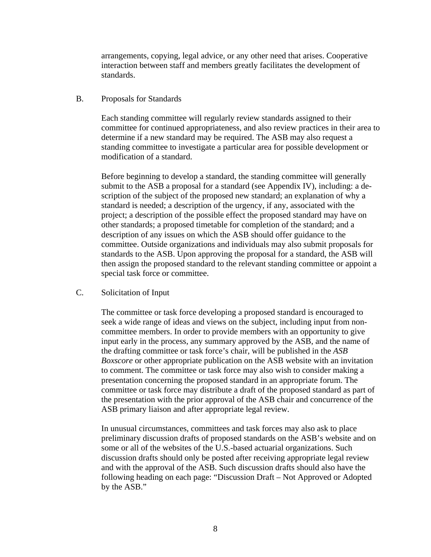arrangements, copying, legal advice, or any other need that arises. Cooperative interaction between staff and members greatly facilitates the development of standards.

B. Proposals for Standards

Each standing committee will regularly review standards assigned to their committee for continued appropriateness, and also review practices in their area to determine if a new standard may be required. The ASB may also request a standing committee to investigate a particular area for possible development or modification of a standard.

Before beginning to develop a standard, the standing committee will generally submit to the ASB a proposal for a standard (see Appendix IV), including: a description of the subject of the proposed new standard; an explanation of why a standard is needed; a description of the urgency, if any, associated with the project; a description of the possible effect the proposed standard may have on other standards; a proposed timetable for completion of the standard; and a description of any issues on which the ASB should offer guidance to the committee. Outside organizations and individuals may also submit proposals for standards to the ASB. Upon approving the proposal for a standard, the ASB will then assign the proposed standard to the relevant standing committee or appoint a special task force or committee.

C. Solicitation of Input

The committee or task force developing a proposed standard is encouraged to seek a wide range of ideas and views on the subject, including input from noncommittee members. In order to provide members with an opportunity to give input early in the process, any summary approved by the ASB, and the name of the drafting committee or task force's chair, will be published in the *ASB Boxscore* or other appropriate publication on the ASB website with an invitation to comment. The committee or task force may also wish to consider making a presentation concerning the proposed standard in an appropriate forum. The committee or task force may distribute a draft of the proposed standard as part of the presentation with the prior approval of the ASB chair and concurrence of the ASB primary liaison and after appropriate legal review.

In unusual circumstances, committees and task forces may also ask to place preliminary discussion drafts of proposed standards on the ASB's website and on some or all of the websites of the U.S.-based actuarial organizations. Such discussion drafts should only be posted after receiving appropriate legal review and with the approval of the ASB. Such discussion drafts should also have the following heading on each page: "Discussion Draft – Not Approved or Adopted by the ASB."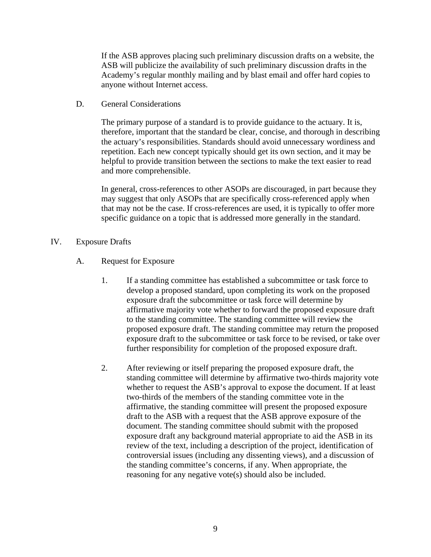If the ASB approves placing such preliminary discussion drafts on a website, the ASB will publicize the availability of such preliminary discussion drafts in the Academy's regular monthly mailing and by blast email and offer hard copies to anyone without Internet access.

D. General Considerations

The primary purpose of a standard is to provide guidance to the actuary. It is, therefore, important that the standard be clear, concise, and thorough in describing the actuary's responsibilities. Standards should avoid unnecessary wordiness and repetition. Each new concept typically should get its own section, and it may be helpful to provide transition between the sections to make the text easier to read and more comprehensible.

In general, cross-references to other ASOPs are discouraged, in part because they may suggest that only ASOPs that are specifically cross-referenced apply when that may not be the case. If cross-references are used, it is typically to offer more specific guidance on a topic that is addressed more generally in the standard.

- IV. Exposure Drafts
	- A. Request for Exposure
		- 1. If a standing committee has established a subcommittee or task force to develop a proposed standard, upon completing its work on the proposed exposure draft the subcommittee or task force will determine by affirmative majority vote whether to forward the proposed exposure draft to the standing committee. The standing committee will review the proposed exposure draft. The standing committee may return the proposed exposure draft to the subcommittee or task force to be revised, or take over further responsibility for completion of the proposed exposure draft.
		- 2. After reviewing or itself preparing the proposed exposure draft, the standing committee will determine by affirmative two-thirds majority vote whether to request the ASB's approval to expose the document. If at least two-thirds of the members of the standing committee vote in the affirmative, the standing committee will present the proposed exposure draft to the ASB with a request that the ASB approve exposure of the document. The standing committee should submit with the proposed exposure draft any background material appropriate to aid the ASB in its review of the text, including a description of the project, identification of controversial issues (including any dissenting views), and a discussion of the standing committee's concerns, if any. When appropriate, the reasoning for any negative vote(s) should also be included.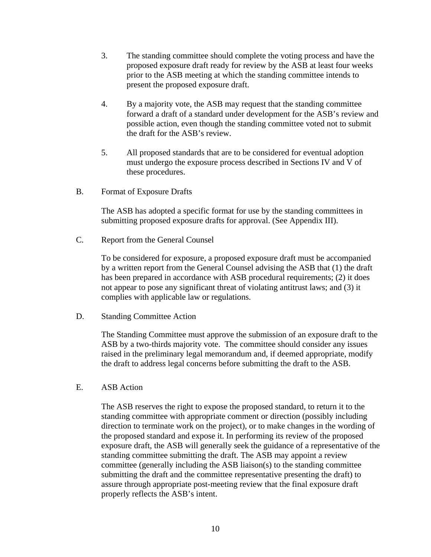- 3. The standing committee should complete the voting process and have the proposed exposure draft ready for review by the ASB at least four weeks prior to the ASB meeting at which the standing committee intends to present the proposed exposure draft.
- 4. By a majority vote, the ASB may request that the standing committee forward a draft of a standard under development for the ASB's review and possible action, even though the standing committee voted not to submit the draft for the ASB's review.
- 5. All proposed standards that are to be considered for eventual adoption must undergo the exposure process described in Sections IV and V of these procedures.
- B. Format of Exposure Drafts

The ASB has adopted a specific format for use by the standing committees in submitting proposed exposure drafts for approval. (See Appendix III).

C. Report from the General Counsel

To be considered for exposure, a proposed exposure draft must be accompanied by a written report from the General Counsel advising the ASB that (1) the draft has been prepared in accordance with ASB procedural requirements; (2) it does not appear to pose any significant threat of violating antitrust laws; and (3) it complies with applicable law or regulations.

D. Standing Committee Action

The Standing Committee must approve the submission of an exposure draft to the ASB by a two-thirds majority vote. The committee should consider any issues raised in the preliminary legal memorandum and, if deemed appropriate, modify the draft to address legal concerns before submitting the draft to the ASB.

E. ASB Action

The ASB reserves the right to expose the proposed standard, to return it to the standing committee with appropriate comment or direction (possibly including direction to terminate work on the project), or to make changes in the wording of the proposed standard and expose it. In performing its review of the proposed exposure draft, the ASB will generally seek the guidance of a representative of the standing committee submitting the draft. The ASB may appoint a review committee (generally including the ASB liaison(s) to the standing committee submitting the draft and the committee representative presenting the draft) to assure through appropriate post-meeting review that the final exposure draft properly reflects the ASB's intent.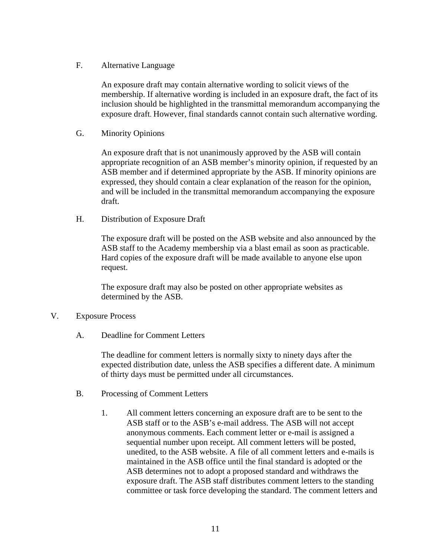F. Alternative Language

An exposure draft may contain alternative wording to solicit views of the membership. If alternative wording is included in an exposure draft, the fact of its inclusion should be highlighted in the transmittal memorandum accompanying the exposure draft. However, final standards cannot contain such alternative wording.

G. Minority Opinions

An exposure draft that is not unanimously approved by the ASB will contain appropriate recognition of an ASB member's minority opinion, if requested by an ASB member and if determined appropriate by the ASB. If minority opinions are expressed, they should contain a clear explanation of the reason for the opinion, and will be included in the transmittal memorandum accompanying the exposure draft.

H. Distribution of Exposure Draft

The exposure draft will be posted on the ASB website and also announced by the ASB staff to the Academy membership via a blast email as soon as practicable. Hard copies of the exposure draft will be made available to anyone else upon request.

The exposure draft may also be posted on other appropriate websites as determined by the ASB.

- V. Exposure Process
	- A. Deadline for Comment Letters

The deadline for comment letters is normally sixty to ninety days after the expected distribution date, unless the ASB specifies a different date. A minimum of thirty days must be permitted under all circumstances.

- B. Processing of Comment Letters
	- 1. All comment letters concerning an exposure draft are to be sent to the ASB staff or to the ASB's e-mail address. The ASB will not accept anonymous comments. Each comment letter or e-mail is assigned a sequential number upon receipt. All comment letters will be posted, unedited, to the ASB website. A file of all comment letters and e-mails is maintained in the ASB office until the final standard is adopted or the ASB determines not to adopt a proposed standard and withdraws the exposure draft. The ASB staff distributes comment letters to the standing committee or task force developing the standard. The comment letters and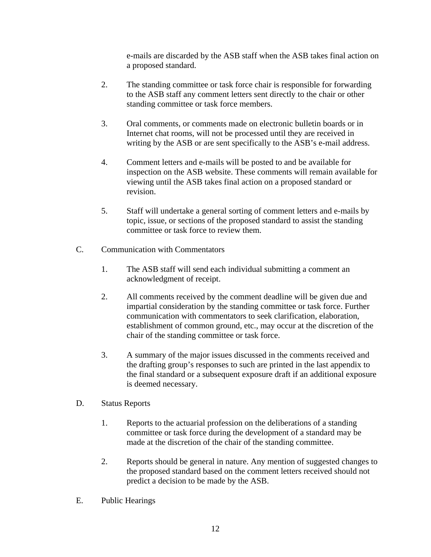e-mails are discarded by the ASB staff when the ASB takes final action on a proposed standard.

- 2. The standing committee or task force chair is responsible for forwarding to the ASB staff any comment letters sent directly to the chair or other standing committee or task force members.
- 3. Oral comments, or comments made on electronic bulletin boards or in Internet chat rooms, will not be processed until they are received in writing by the ASB or are sent specifically to the ASB's e-mail address.
- 4. Comment letters and e-mails will be posted to and be available for inspection on the ASB website. These comments will remain available for viewing until the ASB takes final action on a proposed standard or revision.
- 5. Staff will undertake a general sorting of comment letters and e-mails by topic, issue, or sections of the proposed standard to assist the standing committee or task force to review them.
- C. Communication with Commentators
	- 1. The ASB staff will send each individual submitting a comment an acknowledgment of receipt.
	- 2. All comments received by the comment deadline will be given due and impartial consideration by the standing committee or task force. Further communication with commentators to seek clarification, elaboration, establishment of common ground, etc., may occur at the discretion of the chair of the standing committee or task force.
	- 3. A summary of the major issues discussed in the comments received and the drafting group's responses to such are printed in the last appendix to the final standard or a subsequent exposure draft if an additional exposure is deemed necessary.
- D. Status Reports
	- 1. Reports to the actuarial profession on the deliberations of a standing committee or task force during the development of a standard may be made at the discretion of the chair of the standing committee.
	- 2. Reports should be general in nature. Any mention of suggested changes to the proposed standard based on the comment letters received should not predict a decision to be made by the ASB.
- E. Public Hearings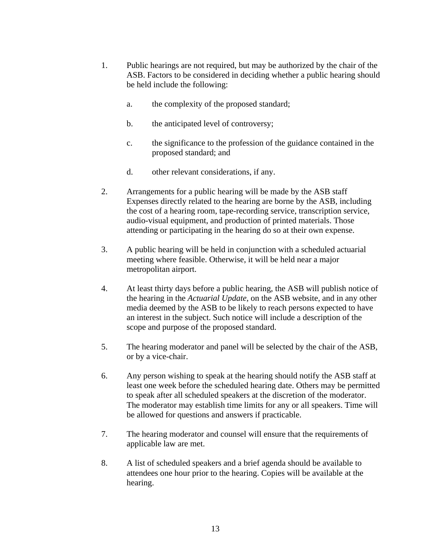- 1. Public hearings are not required, but may be authorized by the chair of the ASB. Factors to be considered in deciding whether a public hearing should be held include the following:
	- a. the complexity of the proposed standard;
	- b. the anticipated level of controversy;
	- c. the significance to the profession of the guidance contained in the proposed standard; and
	- d. other relevant considerations, if any.
- 2. Arrangements for a public hearing will be made by the ASB staff Expenses directly related to the hearing are borne by the ASB, including the cost of a hearing room, tape-recording service, transcription service, audio-visual equipment, and production of printed materials. Those attending or participating in the hearing do so at their own expense.
- 3. A public hearing will be held in conjunction with a scheduled actuarial meeting where feasible. Otherwise, it will be held near a major metropolitan airport.
- 4. At least thirty days before a public hearing, the ASB will publish notice of the hearing in the *Actuarial Update*, on the ASB website, and in any other media deemed by the ASB to be likely to reach persons expected to have an interest in the subject. Such notice will include a description of the scope and purpose of the proposed standard.
- 5. The hearing moderator and panel will be selected by the chair of the ASB, or by a vice-chair.
- 6. Any person wishing to speak at the hearing should notify the ASB staff at least one week before the scheduled hearing date. Others may be permitted to speak after all scheduled speakers at the discretion of the moderator. The moderator may establish time limits for any or all speakers. Time will be allowed for questions and answers if practicable.
- 7. The hearing moderator and counsel will ensure that the requirements of applicable law are met.
- 8. A list of scheduled speakers and a brief agenda should be available to attendees one hour prior to the hearing. Copies will be available at the hearing.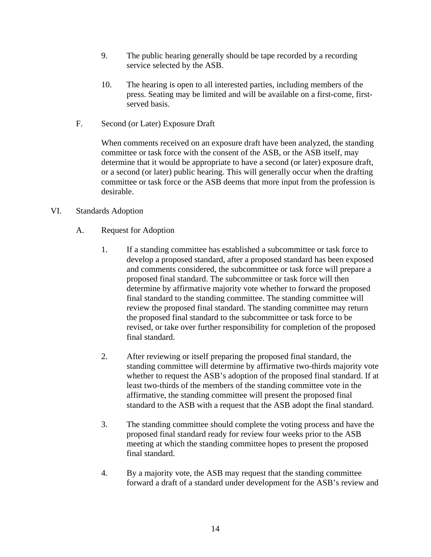- 9. The public hearing generally should be tape recorded by a recording service selected by the ASB.
- 10. The hearing is open to all interested parties, including members of the press. Seating may be limited and will be available on a first-come, firstserved basis.
- F. Second (or Later) Exposure Draft

When comments received on an exposure draft have been analyzed, the standing committee or task force with the consent of the ASB, or the ASB itself, may determine that it would be appropriate to have a second (or later) exposure draft, or a second (or later) public hearing. This will generally occur when the drafting committee or task force or the ASB deems that more input from the profession is desirable.

## VI. Standards Adoption

- A. Request for Adoption
	- 1. If a standing committee has established a subcommittee or task force to develop a proposed standard, after a proposed standard has been exposed and comments considered, the subcommittee or task force will prepare a proposed final standard. The subcommittee or task force will then determine by affirmative majority vote whether to forward the proposed final standard to the standing committee. The standing committee will review the proposed final standard. The standing committee may return the proposed final standard to the subcommittee or task force to be revised, or take over further responsibility for completion of the proposed final standard.
	- 2. After reviewing or itself preparing the proposed final standard, the standing committee will determine by affirmative two-thirds majority vote whether to request the ASB's adoption of the proposed final standard. If at least two-thirds of the members of the standing committee vote in the affirmative, the standing committee will present the proposed final standard to the ASB with a request that the ASB adopt the final standard.
	- 3. The standing committee should complete the voting process and have the proposed final standard ready for review four weeks prior to the ASB meeting at which the standing committee hopes to present the proposed final standard.
	- 4. By a majority vote, the ASB may request that the standing committee forward a draft of a standard under development for the ASB's review and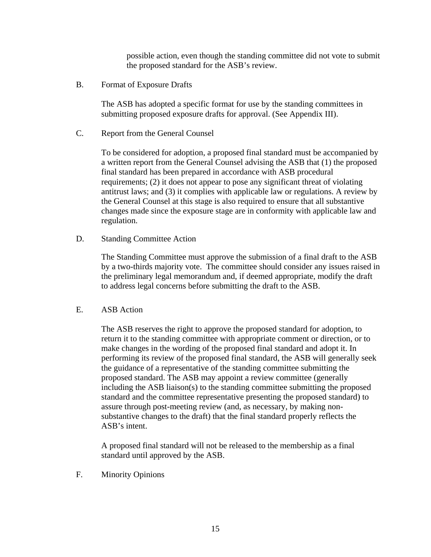possible action, even though the standing committee did not vote to submit the proposed standard for the ASB's review.

B. Format of Exposure Drafts

The ASB has adopted a specific format for use by the standing committees in submitting proposed exposure drafts for approval. (See Appendix III).

C. Report from the General Counsel

To be considered for adoption, a proposed final standard must be accompanied by a written report from the General Counsel advising the ASB that (1) the proposed final standard has been prepared in accordance with ASB procedural requirements; (2) it does not appear to pose any significant threat of violating antitrust laws; and (3) it complies with applicable law or regulations. A review by the General Counsel at this stage is also required to ensure that all substantive changes made since the exposure stage are in conformity with applicable law and regulation.

D. Standing Committee Action

The Standing Committee must approve the submission of a final draft to the ASB by a two-thirds majority vote. The committee should consider any issues raised in the preliminary legal memorandum and, if deemed appropriate, modify the draft to address legal concerns before submitting the draft to the ASB.

E. ASB Action

The ASB reserves the right to approve the proposed standard for adoption, to return it to the standing committee with appropriate comment or direction, or to make changes in the wording of the proposed final standard and adopt it. In performing its review of the proposed final standard, the ASB will generally seek the guidance of a representative of the standing committee submitting the proposed standard. The ASB may appoint a review committee (generally including the ASB liaison(s) to the standing committee submitting the proposed standard and the committee representative presenting the proposed standard) to assure through post-meeting review (and, as necessary, by making nonsubstantive changes to the draft) that the final standard properly reflects the ASB's intent.

A proposed final standard will not be released to the membership as a final standard until approved by the ASB.

F. Minority Opinions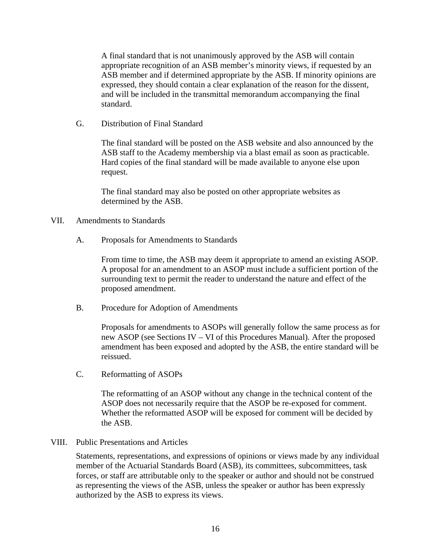A final standard that is not unanimously approved by the ASB will contain appropriate recognition of an ASB member's minority views, if requested by an ASB member and if determined appropriate by the ASB. If minority opinions are expressed, they should contain a clear explanation of the reason for the dissent, and will be included in the transmittal memorandum accompanying the final standard.

G. Distribution of Final Standard

The final standard will be posted on the ASB website and also announced by the ASB staff to the Academy membership via a blast email as soon as practicable. Hard copies of the final standard will be made available to anyone else upon request.

The final standard may also be posted on other appropriate websites as determined by the ASB.

## VII. Amendments to Standards

A. Proposals for Amendments to Standards

From time to time, the ASB may deem it appropriate to amend an existing ASOP. A proposal for an amendment to an ASOP must include a sufficient portion of the surrounding text to permit the reader to understand the nature and effect of the proposed amendment.

B. Procedure for Adoption of Amendments

Proposals for amendments to ASOPs will generally follow the same process as for new ASOP (see Sections IV – VI of this Procedures Manual). After the proposed amendment has been exposed and adopted by the ASB, the entire standard will be reissued.

C. Reformatting of ASOPs

The reformatting of an ASOP without any change in the technical content of the ASOP does not necessarily require that the ASOP be re-exposed for comment. Whether the reformatted ASOP will be exposed for comment will be decided by the ASB.

## VIII. Public Presentations and Articles

Statements, representations, and expressions of opinions or views made by any individual member of the Actuarial Standards Board (ASB), its committees, subcommittees, task forces, or staff are attributable only to the speaker or author and should not be construed as representing the views of the ASB, unless the speaker or author has been expressly authorized by the ASB to express its views.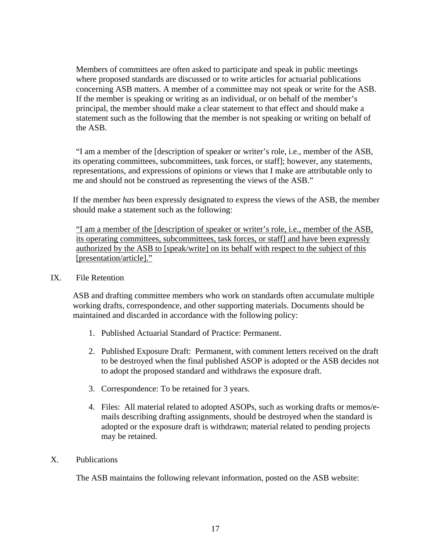Members of committees are often asked to participate and speak in public meetings where proposed standards are discussed or to write articles for actuarial publications concerning ASB matters. A member of a committee may not speak or write for the ASB. If the member is speaking or writing as an individual, or on behalf of the member's principal, the member should make a clear statement to that effect and should make a statement such as the following that the member is not speaking or writing on behalf of the ASB.

 "I am a member of the [description of speaker or writer's role, i.e., member of the ASB, its operating committees, subcommittees, task forces, or staff]; however, any statements, representations, and expressions of opinions or views that I make are attributable only to me and should not be construed as representing the views of the ASB."

If the member *has* been expressly designated to express the views of the ASB, the member should make a statement such as the following:

"I am a member of the [description of speaker or writer's role, i.e., member of the ASB, its operating committees, subcommittees, task forces, or staff] and have been expressly authorized by the ASB to [speak/write] on its behalf with respect to the subject of this [presentation/article]."

## IX. File Retention

ASB and drafting committee members who work on standards often accumulate multiple working drafts, correspondence, and other supporting materials. Documents should be maintained and discarded in accordance with the following policy:

- 1. Published Actuarial Standard of Practice: Permanent.
- 2. Published Exposure Draft: Permanent, with comment letters received on the draft to be destroyed when the final published ASOP is adopted or the ASB decides not to adopt the proposed standard and withdraws the exposure draft.
- 3. Correspondence: To be retained for 3 years.
- 4. Files: All material related to adopted ASOPs, such as working drafts or memos/emails describing drafting assignments, should be destroyed when the standard is adopted or the exposure draft is withdrawn; material related to pending projects may be retained.

#### X. Publications

The ASB maintains the following relevant information, posted on the ASB website: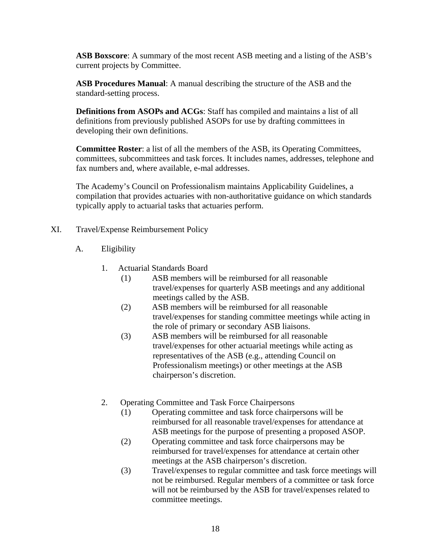**ASB Boxscore**: A summary of the most recent ASB meeting and a listing of the ASB's current projects by Committee.

**ASB Procedures Manual**: A manual describing the structure of the ASB and the standard-setting process.

**Definitions from ASOPs and ACGs**: Staff has compiled and maintains a list of all definitions from previously published ASOPs for use by drafting committees in developing their own definitions.

**Committee Roster**: a list of all the members of the ASB, its Operating Committees, committees, subcommittees and task forces. It includes names, addresses, telephone and fax numbers and, where available, e-mal addresses.

The Academy's Council on Professionalism maintains Applicability Guidelines, a compilation that provides actuaries with non-authoritative guidance on which standards typically apply to actuarial tasks that actuaries perform.

- XI. Travel/Expense Reimbursement Policy
	- A. Eligibility
		- 1. Actuarial Standards Board
			- (1) ASB members will be reimbursed for all reasonable travel/expenses for quarterly ASB meetings and any additional meetings called by the ASB.
			- (2) ASB members will be reimbursed for all reasonable travel/expenses for standing committee meetings while acting in the role of primary or secondary ASB liaisons.
			- (3) ASB members will be reimbursed for all reasonable travel/expenses for other actuarial meetings while acting as representatives of the ASB (e.g., attending Council on Professionalism meetings) or other meetings at the ASB chairperson's discretion.
		- 2. Operating Committee and Task Force Chairpersons
			- (1) Operating committee and task force chairpersons will be reimbursed for all reasonable travel/expenses for attendance at ASB meetings for the purpose of presenting a proposed ASOP.
			- (2) Operating committee and task force chairpersons may be reimbursed for travel/expenses for attendance at certain other meetings at the ASB chairperson's discretion.
			- (3) Travel/expenses to regular committee and task force meetings will not be reimbursed. Regular members of a committee or task force will not be reimbursed by the ASB for travel/expenses related to committee meetings.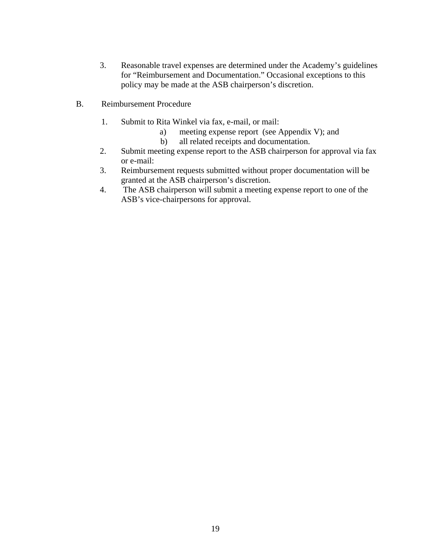- 3. Reasonable travel expenses are determined under the Academy's guidelines for "Reimbursement and Documentation." Occasional exceptions to this policy may be made at the ASB chairperson's discretion.
- B. Reimbursement Procedure
	- 1. Submit to Rita Winkel via fax, e-mail, or mail:
		- a) meeting expense report (see Appendix V); and
		- b) all related receipts and documentation.
	- 2. Submit meeting expense report to the ASB chairperson for approval via fax or e-mail:
	- 3. Reimbursement requests submitted without proper documentation will be granted at the ASB chairperson's discretion.
	- 4. The ASB chairperson will submit a meeting expense report to one of the ASB's vice-chairpersons for approval.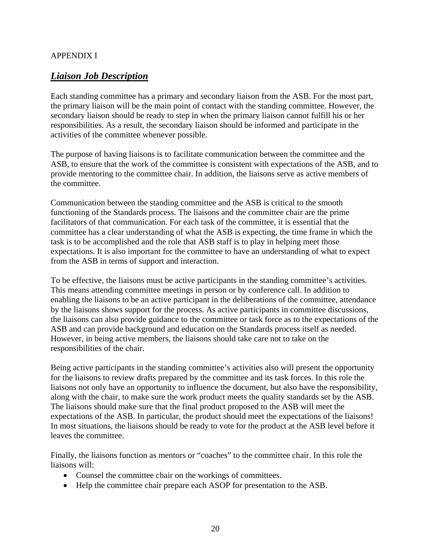## APPENDIX I

## *Liaison Job Description*

Each standing committee has a primary and secondary liaison from the ASB. For the most part, the primary liaison will be the main point of contact with the standing committee. However, the secondary liaison should be ready to step in when the primary liaison cannot fulfill his or her responsibilities. As a result, the secondary liaison should be informed and participate in the activities of the committee whenever possible.

The purpose of having liaisons is to facilitate communication between the committee and the ASB, to ensure that the work of the committee is consistent with expectations of the ASB, and to provide mentoring to the committee chair. In addition, the liaisons serve as active members of the committee.

Communication between the standing committee and the ASB is critical to the smooth functioning of the Standards process. The liaisons and the committee chair are the prime facilitators of that communication. For each task of the committee, it is essential that the committee has a clear understanding of what the ASB is expecting, the time frame in which the task is to be accomplished and the role that ASB staff is to play in helping meet those expectations. It is also important for the committee to have an understanding of what to expect from the ASB in terms of support and interaction.

To be effective, the liaisons must be active participants in the standing committee's activities. This means attending committee meetings in person or by conference call. In addition to enabling the liaisons to be an active participant in the deliberations of the committee, attendance by the liaisons shows support for the process. As active participants in committee discussions, the liaisons can also provide guidance to the committee or task force as to the expectations of the ASB and can provide background and education on the Standards process itself as needed. However, in being active members, the liaisons should take care not to take on the responsibilities of the chair.

Being active participants in the standing committee's activities also will present the opportunity for the liaisons to review drafts prepared by the committee and its task forces. In this role the liaisons not only have an opportunity to influence the document, but also have the responsibility, along with the chair, to make sure the work product meets the quality standards set by the ASB. The liaisons should make sure that the final product proposed to the ASB will meet the expectations of the ASB. In particular, the product should meet the expectations of the liaisons! In most situations, the liaisons should be ready to vote for the product at the ASB level before it leaves the committee.

Finally, the liaisons function as mentors or "coaches" to the committee chair. In this role the liaisons will:

- Counsel the committee chair on the workings of committees.
- Help the committee chair prepare each ASOP for presentation to the ASB.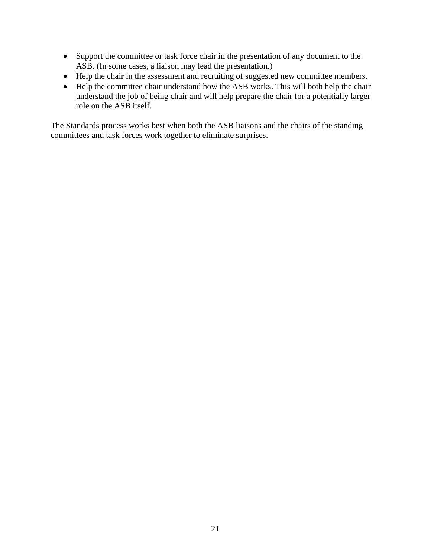- Support the committee or task force chair in the presentation of any document to the ASB. (In some cases, a liaison may lead the presentation.)
- Help the chair in the assessment and recruiting of suggested new committee members.
- Help the committee chair understand how the ASB works. This will both help the chair understand the job of being chair and will help prepare the chair for a potentially larger role on the ASB itself.

The Standards process works best when both the ASB liaisons and the chairs of the standing committees and task forces work together to eliminate surprises.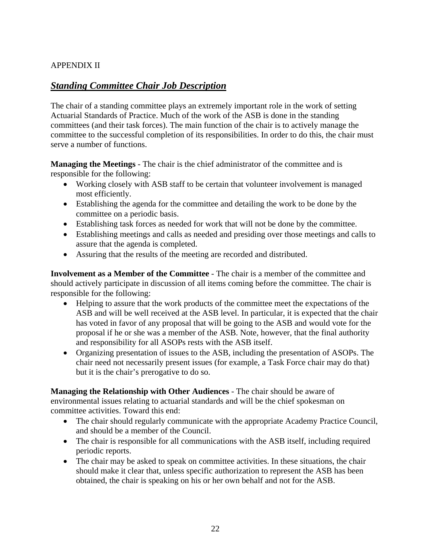## APPENDIX II

## *Standing Committee Chair Job Description*

The chair of a standing committee plays an extremely important role in the work of setting Actuarial Standards of Practice. Much of the work of the ASB is done in the standing committees (and their task forces). The main function of the chair is to actively manage the committee to the successful completion of its responsibilities. In order to do this, the chair must serve a number of functions.

**Managing the Meetings** - The chair is the chief administrator of the committee and is responsible for the following:

- Working closely with ASB staff to be certain that volunteer involvement is managed most efficiently.
- Establishing the agenda for the committee and detailing the work to be done by the committee on a periodic basis.
- Establishing task forces as needed for work that will not be done by the committee.
- Establishing meetings and calls as needed and presiding over those meetings and calls to assure that the agenda is completed.
- Assuring that the results of the meeting are recorded and distributed.

**Involvement as a Member of the Committee** - The chair is a member of the committee and should actively participate in discussion of all items coming before the committee. The chair is responsible for the following:

- Helping to assure that the work products of the committee meet the expectations of the ASB and will be well received at the ASB level. In particular, it is expected that the chair has voted in favor of any proposal that will be going to the ASB and would vote for the proposal if he or she was a member of the ASB. Note, however, that the final authority and responsibility for all ASOPs rests with the ASB itself.
- Organizing presentation of issues to the ASB, including the presentation of ASOPs. The chair need not necessarily present issues (for example, a Task Force chair may do that) but it is the chair's prerogative to do so.

**Managing the Relationship with Other Audiences** - The chair should be aware of environmental issues relating to actuarial standards and will be the chief spokesman on committee activities. Toward this end:

- The chair should regularly communicate with the appropriate Academy Practice Council, and should be a member of the Council.
- The chair is responsible for all communications with the ASB itself, including required periodic reports.
- The chair may be asked to speak on committee activities. In these situations, the chair should make it clear that, unless specific authorization to represent the ASB has been obtained, the chair is speaking on his or her own behalf and not for the ASB.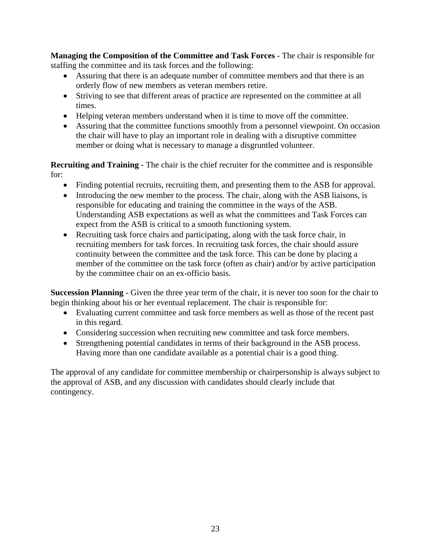**Managing the Composition of the Committee and Task Forces** - The chair is responsible for staffing the committee and its task forces and the following:

- Assuring that there is an adequate number of committee members and that there is an orderly flow of new members as veteran members retire.
- Striving to see that different areas of practice are represented on the committee at all times.
- Helping veteran members understand when it is time to move off the committee.
- Assuring that the committee functions smoothly from a personnel viewpoint. On occasion the chair will have to play an important role in dealing with a disruptive committee member or doing what is necessary to manage a disgruntled volunteer.

**Recruiting and Training** - The chair is the chief recruiter for the committee and is responsible for:

- Finding potential recruits, recruiting them, and presenting them to the ASB for approval.
- Introducing the new member to the process. The chair, along with the ASB liaisons, is responsible for educating and training the committee in the ways of the ASB. Understanding ASB expectations as well as what the committees and Task Forces can expect from the ASB is critical to a smooth functioning system.
- Recruiting task force chairs and participating, along with the task force chair, in recruiting members for task forces. In recruiting task forces, the chair should assure continuity between the committee and the task force. This can be done by placing a member of the committee on the task force (often as chair) and/or by active participation by the committee chair on an ex-officio basis.

**Succession Planning** - Given the three year term of the chair, it is never too soon for the chair to begin thinking about his or her eventual replacement. The chair is responsible for:

- Evaluating current committee and task force members as well as those of the recent past in this regard.
- Considering succession when recruiting new committee and task force members.
- Strengthening potential candidates in terms of their background in the ASB process. Having more than one candidate available as a potential chair is a good thing.

The approval of any candidate for committee membership or chairpersonship is always subject to the approval of ASB, and any discussion with candidates should clearly include that contingency.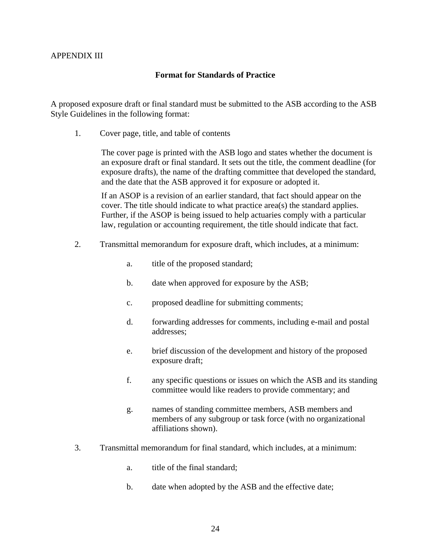## APPENDIX III

### **Format for Standards of Practice**

A proposed exposure draft or final standard must be submitted to the ASB according to the ASB Style Guidelines in the following format:

1. Cover page, title, and table of contents

The cover page is printed with the ASB logo and states whether the document is an exposure draft or final standard. It sets out the title, the comment deadline (for exposure drafts), the name of the drafting committee that developed the standard, and the date that the ASB approved it for exposure or adopted it.

If an ASOP is a revision of an earlier standard, that fact should appear on the cover. The title should indicate to what practice area(s) the standard applies. Further, if the ASOP is being issued to help actuaries comply with a particular law, regulation or accounting requirement, the title should indicate that fact.

- 2. Transmittal memorandum for exposure draft, which includes, at a minimum:
	- a. title of the proposed standard;
	- b. date when approved for exposure by the ASB;
	- c. proposed deadline for submitting comments;
	- d. forwarding addresses for comments, including e-mail and postal addresses;
	- e. brief discussion of the development and history of the proposed exposure draft;
	- f. any specific questions or issues on which the ASB and its standing committee would like readers to provide commentary; and
	- g. names of standing committee members, ASB members and members of any subgroup or task force (with no organizational affiliations shown).
- 3. Transmittal memorandum for final standard, which includes, at a minimum:
	- a. title of the final standard;
	- b. date when adopted by the ASB and the effective date;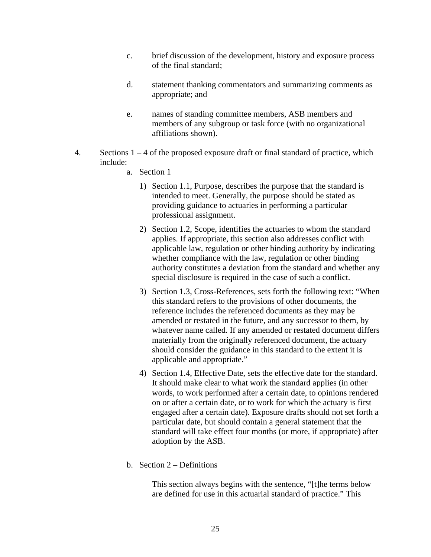- c. brief discussion of the development, history and exposure process of the final standard;
- d. statement thanking commentators and summarizing comments as appropriate; and
- e. names of standing committee members, ASB members and members of any subgroup or task force (with no organizational affiliations shown).
- 4. Sections 1 4 of the proposed exposure draft or final standard of practice, which include:
	- a. Section 1
		- 1) Section 1.1, Purpose, describes the purpose that the standard is intended to meet. Generally, the purpose should be stated as providing guidance to actuaries in performing a particular professional assignment.
		- 2) Section 1.2, Scope, identifies the actuaries to whom the standard applies. If appropriate, this section also addresses conflict with applicable law, regulation or other binding authority by indicating whether compliance with the law, regulation or other binding authority constitutes a deviation from the standard and whether any special disclosure is required in the case of such a conflict.
		- 3) Section 1.3, Cross-References, sets forth the following text: "When this standard refers to the provisions of other documents, the reference includes the referenced documents as they may be amended or restated in the future, and any successor to them, by whatever name called. If any amended or restated document differs materially from the originally referenced document, the actuary should consider the guidance in this standard to the extent it is applicable and appropriate."
		- 4) Section 1.4, Effective Date, sets the effective date for the standard. It should make clear to what work the standard applies (in other words, to work performed after a certain date, to opinions rendered on or after a certain date, or to work for which the actuary is first engaged after a certain date). Exposure drafts should not set forth a particular date, but should contain a general statement that the standard will take effect four months (or more, if appropriate) after adoption by the ASB.
	- b. Section 2 Definitions

This section always begins with the sentence, "[t]he terms below are defined for use in this actuarial standard of practice." This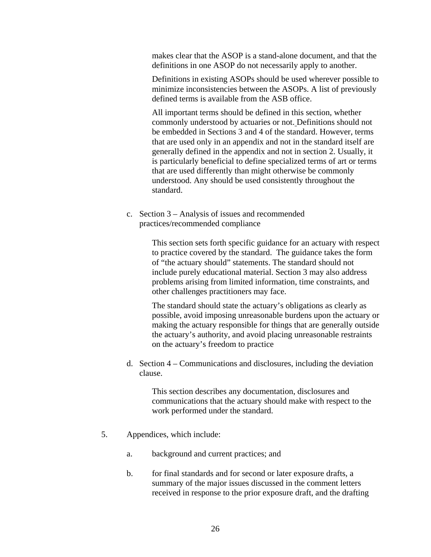makes clear that the ASOP is a stand-alone document, and that the definitions in one ASOP do not necessarily apply to another.

Definitions in existing ASOPs should be used wherever possible to minimize inconsistencies between the ASOPs. A list of previously defined terms is available from the ASB office.

All important terms should be defined in this section, whether commonly understood by actuaries or not. Definitions should not be embedded in Sections 3 and 4 of the standard. However, terms that are used only in an appendix and not in the standard itself are generally defined in the appendix and not in section 2. Usually, it is particularly beneficial to define specialized terms of art or terms that are used differently than might otherwise be commonly understood. Any should be used consistently throughout the standard.

c. Section 3 – Analysis of issues and recommended practices/recommended compliance

> This section sets forth specific guidance for an actuary with respect to practice covered by the standard. The guidance takes the form of "the actuary should" statements. The standard should not include purely educational material. Section 3 may also address problems arising from limited information, time constraints, and other challenges practitioners may face.

> The standard should state the actuary's obligations as clearly as possible, avoid imposing unreasonable burdens upon the actuary or making the actuary responsible for things that are generally outside the actuary's authority, and avoid placing unreasonable restraints on the actuary's freedom to practice

d. Section 4 – Communications and disclosures, including the deviation clause.

> This section describes any documentation, disclosures and communications that the actuary should make with respect to the work performed under the standard.

- 5. Appendices, which include:
	- a. background and current practices; and
	- b. for final standards and for second or later exposure drafts, a summary of the major issues discussed in the comment letters received in response to the prior exposure draft, and the drafting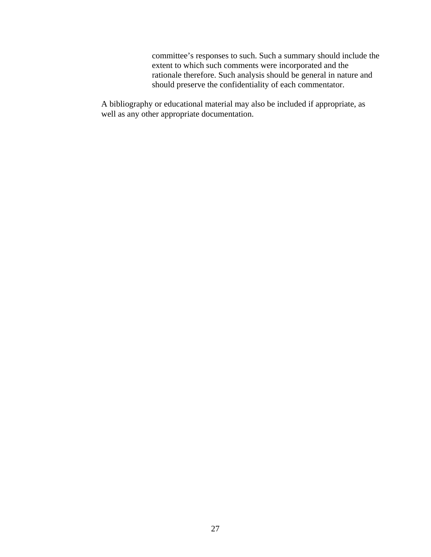committee's responses to such. Such a summary should include the extent to which such comments were incorporated and the rationale therefore. Such analysis should be general in nature and should preserve the confidentiality of each commentator.

A bibliography or educational material may also be included if appropriate, as well as any other appropriate documentation.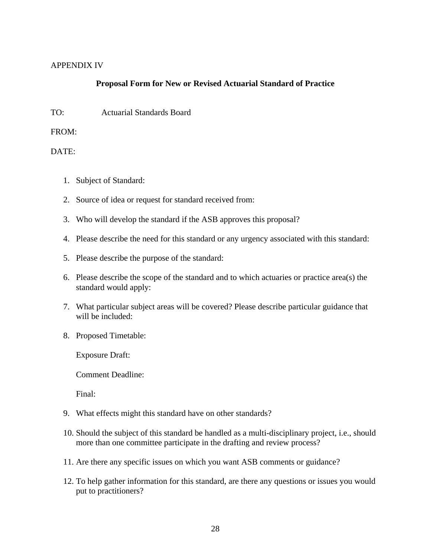## APPENDIX IV

## **Proposal Form for New or Revised Actuarial Standard of Practice**

TO: Actuarial Standards Board

FROM:

DATE:

- 1. Subject of Standard:
- 2. Source of idea or request for standard received from:
- 3. Who will develop the standard if the ASB approves this proposal?
- 4. Please describe the need for this standard or any urgency associated with this standard:
- 5. Please describe the purpose of the standard:
- 6. Please describe the scope of the standard and to which actuaries or practice area(s) the standard would apply:
- 7. What particular subject areas will be covered? Please describe particular guidance that will be included:
- 8. Proposed Timetable:

Exposure Draft:

Comment Deadline:

Final:

- 9. What effects might this standard have on other standards?
- 10. Should the subject of this standard be handled as a multi-disciplinary project, i.e., should more than one committee participate in the drafting and review process?
- 11. Are there any specific issues on which you want ASB comments or guidance?
- 12. To help gather information for this standard, are there any questions or issues you would put to practitioners?